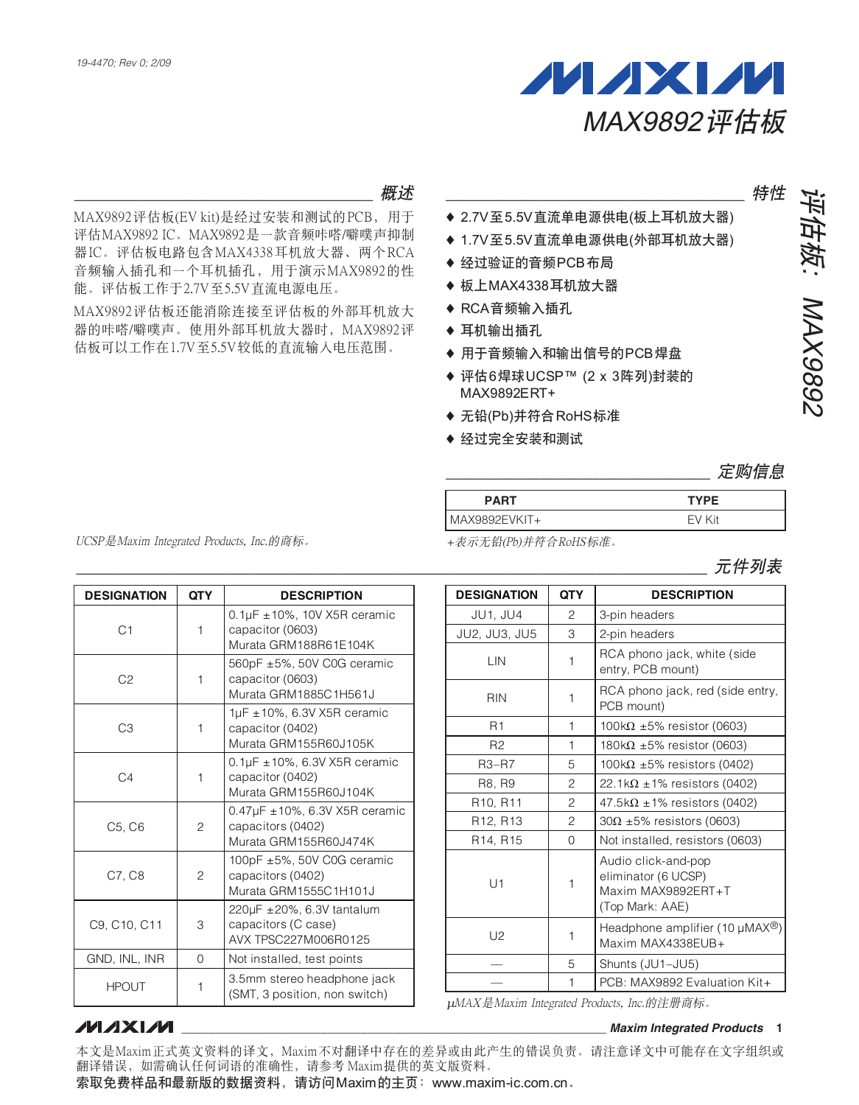

``````````````````````````````````` গၤ

MAX9892评估板(EV kit)是经过安装和测试的PCB, 用于 评估MAX9892 IC. MAX9892是一款音频咔嗒/噼噗声抑制 器IC。评估板电路包含MAX4338耳机放大器、两个RCA 音频输入插孔和一个耳机插孔, 用于演示MAX9892的性 能。评估板工作于2.7V至5.5V直流电源电压。

MAX9892评估板还能消除连接至评估板的外部耳机放大 器的咔嗒/噼噗声。使用外部耳机放大器时, MAX9892评 估板可以工作在1.7V至5.5V较低的直流输入电压范围。

- **特性**
- ◆ 2.7V至5.5V直流单电源供电(板上耳机放大器)
- ◆ 1.7V至5.5V直流单电源供电(外部耳机放大器)
- ◆ 经过验证的音频PCB布局
- ◆ 板上MAX4338耳机放大器
- ◆ RCA音频输入插孔
- ◆耳机输出插孔
- ◆ 用于音频输入和输出信号的PCB焊盘
- ◆ 评估6焊球UCSP™ (2 x 3阵列)封装的 MAX9892ERT+
- ♦ 无铅(Pb)并符合RoHS标准
- ♦ 经过完全安装和测试

| <b>PART</b>   | <b>TYPE</b> |
|---------------|-------------|
| MAX9892EVKIT+ | FV Kit      |

+表示无铅(Pb)并符合RoHS标准。

| ノレエエ | 元性别表<br>リベ |
|------|------------|
|------|------------|

| <b>DESIGNATION</b> | <b>QTY</b> | <b>DESCRIPTION</b>                                                                 |
|--------------------|------------|------------------------------------------------------------------------------------|
| C <sub>1</sub>     | 1          | $0.1 \mu$ F ± 10%, 10V X5R ceramic<br>capacitor (0603)<br>Murata GRM188R61E104K    |
| C <sub>2</sub>     | 1          | 560pF ±5%, 50V C0G ceramic<br>capacitor (0603)<br>Murata GRM1885C1H561J            |
| C <sub>3</sub>     | 1          | 1µF $\pm$ 10%, 6.3V X5R ceramic<br>capacitor (0402)<br>Murata GRM155R60J105K       |
| C <sub>4</sub>     | 1          | $0.1 \mu$ F ± 10%, 6.3V X5R ceramic<br>capacitor (0402)<br>Murata GRM155R60J104K   |
| C5, C6             | 2          | $0.47 \mu$ F ± 10%, 6.3V X5R ceramic<br>capacitors (0402)<br>Murata GRM155R60J474K |
| C7. C8             | 2          | 100pF ±5%, 50V C0G ceramic<br>capacitors (0402)<br>Murata GRM1555C1H101J           |
| C9, C10, C11       | 3          | 220µF ±20%, 6.3V tantalum<br>capacitors (C case)<br>AVX TPSC227M006R0125           |
| GND, INL, INR      | 0          | Not installed, test points                                                         |
| <b>HPOUT</b>       | 1          | 3.5mm stereo headphone jack<br>(SMT, 3 position, non switch)                       |

| <b>DESIGNATION</b>                | <b>QTY</b>     | <b>DESCRIPTION</b>                                                                  |  |
|-----------------------------------|----------------|-------------------------------------------------------------------------------------|--|
| JU1, JU4                          | 2              | 3-pin headers                                                                       |  |
| JU2, JU3, JU5                     | 3              | 2-pin headers                                                                       |  |
| LIN                               | 1              | RCA phono jack, white (side<br>entry, PCB mount)                                    |  |
| <b>RIN</b>                        | 1              | RCA phono jack, red (side entry,<br>PCB mount)                                      |  |
| R <sub>1</sub>                    | 1              | 100k $\Omega$ ±5% resistor (0603)                                                   |  |
| R <sub>2</sub>                    | 1              | 180k $\Omega$ ±5% resistor (0603)                                                   |  |
| $R3 - R7$                         | 5              | 100kΩ $±5\%$ resistors (0402)                                                       |  |
| R8, R9                            | $\overline{c}$ | $22.1\mathrm{k}\Omega \pm 1\%$ resistors (0402)                                     |  |
| R <sub>10</sub> , R <sub>11</sub> | $\overline{c}$ | $47.5\mathrm{k}\Omega \pm 1\%$ resistors (0402)                                     |  |
| R <sub>12</sub> , R <sub>13</sub> | 2              | $30\Omega \pm 5\%$ resistors (0603)                                                 |  |
| R14, R15                          | $\Omega$       | Not installed, resistors (0603)                                                     |  |
| U1                                | 1              | Audio click-and-pop<br>eliminator (6 UCSP)<br>Maxim MAX9892ERT+T<br>(Top Mark: AAE) |  |
| U <sub>2</sub>                    | 1              | Headphone amplifier (10 $\mu$ MAX <sup>®</sup> )<br>Maxim MAX4338EUB+               |  |
|                                   | 5              | Shunts (JU1-JU5)                                                                    |  |
|                                   | 1              | PCB: MAX9892 Evaluation Kit+                                                        |  |

 $\mu$ MAX是Maxim Integrated Products, Inc.的注册商标。

**\_\_\_\_\_\_\_\_\_\_\_\_\_\_\_\_\_\_\_\_\_\_\_\_\_\_\_\_\_\_\_\_\_\_\_\_\_\_\_\_\_\_\_\_\_\_\_\_\_\_\_\_\_\_\_\_\_\_\_\_\_\_\_\_** *Maxim Integrated Products* **1**

## **MXXVIVI**

本文是Maxim正式英文资料的译文,Maxim不对翻译中存在的差异或由此产生的错误负责。请注意译文中可能存在文字组织或 翻译错误,如需确认任何词语的准确性,请参考 Maxim提供的英文版资料。

索取免费样品和最新版的数据资料,请访问Maxim的主页: www.maxim-ic.com.cn。

UCSP是Maxim Integrated Products, Inc.的商标。

# ຶৰۇ! !;NBY:9:3 平估板: MAX9892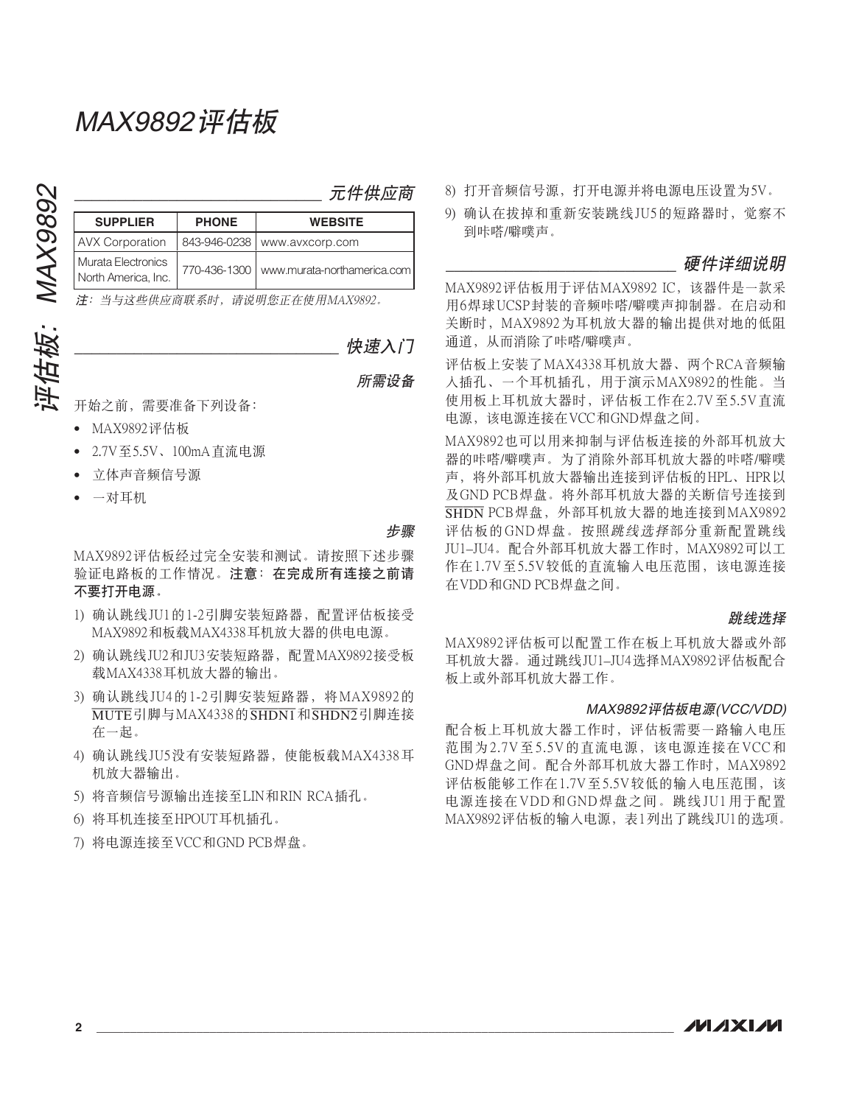| 元件供应商 |
|-------|
|-------|

| <b>SUPPLIER</b>                           | <b>PHONE</b> | <b>WEBSITE</b>                             |
|-------------------------------------------|--------------|--------------------------------------------|
| <b>AVX Corporation</b>                    |              | 843-946-0238   www.avxcorp.com             |
| Murata Electronics<br>North America, Inc. |              | 770-436-1300   www.murata-northamerica.com |

注: 当与这些供应商联系时, 请说明您正在使用MAX9892。

``````````````````````````````` Ⴅྜྷඡ

所需设备

开始之前, 需要准备下列设备:

- MAX9892评估板
- 2.7V至5.5V、100mA直流电源
- 立体声音频信号源
- 一对耳机

步骤

MAX9892评估板经过完全安装和测试。请按照下述步骤 验证电路板的工作情况。注意: 在完成所有连接之前请 不要打开电源。

- 1) 确认跳线JU1的1-2引脚安装短路器, 配置评估板接受 MAX9892和板载MAX4338耳机放大器的供电电源。
- 2) 确认跳线JU2和JU3安装短路器, 配置MAX9892接受板 载MAX4338耳机放大器的输出。
- 3) 确认跳线 JU4的1-2引脚安装短路器, 将MAX9892的 MUTE引脚与MAX4338的 SHDN1和 SHDN2引脚连接 在一起。
- 4) 确认跳线JU5没有安装短路器, 使能板载MAX4338耳 机放大器输出。
- 5) 将音频信号源输出连接至LIN和RIN RCA插孔。
- 6) 将耳机连接至HPOUT耳机插孔。
- 7) 将电源连接至VCC和GND PCB焊盘。
- 8) 打开音频信号源, 打开电源并将电源电压设置为5V。
- 9) 确认在拔掉和重新安装跳线JU5的短路器时, 觉察不 到咔嗒/噼噗声。

硬件详细说明

MAX9892评估板用于评估MAX9892 IC, 该器件是一款采 用6焊球UCSP封装的音频咔嗒/噼噗声抑制器。在启动和 关断时, MAX9892为耳机放大器的输出提供对地的低阻 通道, 从而消除了咔嗒/噼噗声。

评估板上安装了MAX4338耳机放大器、两个RCA音频输 入插孔、一个耳机插孔, 用于演示MAX9892的性能。当 使用板上耳机放大器时, 评估板工作在2.7V至5.5V直流 电源,该电源连接在VCC和GND焊盘之间。

MAX9892也可以用来抑制与评估板连接的外部耳机放大 器的咔嗒/噼噗声。为了消除外部耳机放大器的咔嗒/噼噗 声, 将外部耳机放大器输出连接到评估板的HPL、HPR以 及GND PCB焊盘。将外部耳机放大器的关断信号连接到 SHDN PCB焊盘, 外部耳机放大器的地连接到MAX9892 评估板的GND焊盘。按照跳线选择部分重新配置跳线 JU1-JU4。配合外部耳机放大器工作时, MAX9892可以工 作在1.7V至5.5V较低的直流输入电压范围, 该电源连接 在VDD和GND PCB焊盘之间。

#### 跳线选择

MAX9892评估板可以配置工作在板上耳机放大器或外部 耳机放大器。通过跳线JU1-JU4选择MAX9892评估板配合 板上或外部耳机放大器工作。

#### MAX9892评估板电源(VCC/VDD)

配合板上耳机放大器工作时、评估板需要一路输入电压 范围为2.7V至5.5V的直流电源,该电源连接在VCC和 GND焊盘之间。配合外部耳机放大器工作时, MAX9892 评估板能够工作在1.7V至5.5V较低的输入电压范围, 该 电源连接在VDD和GND焊盘之间。跳线JU1用于配置 MAX9892评估板的输入电源, 表1列出了跳线JU1的选项。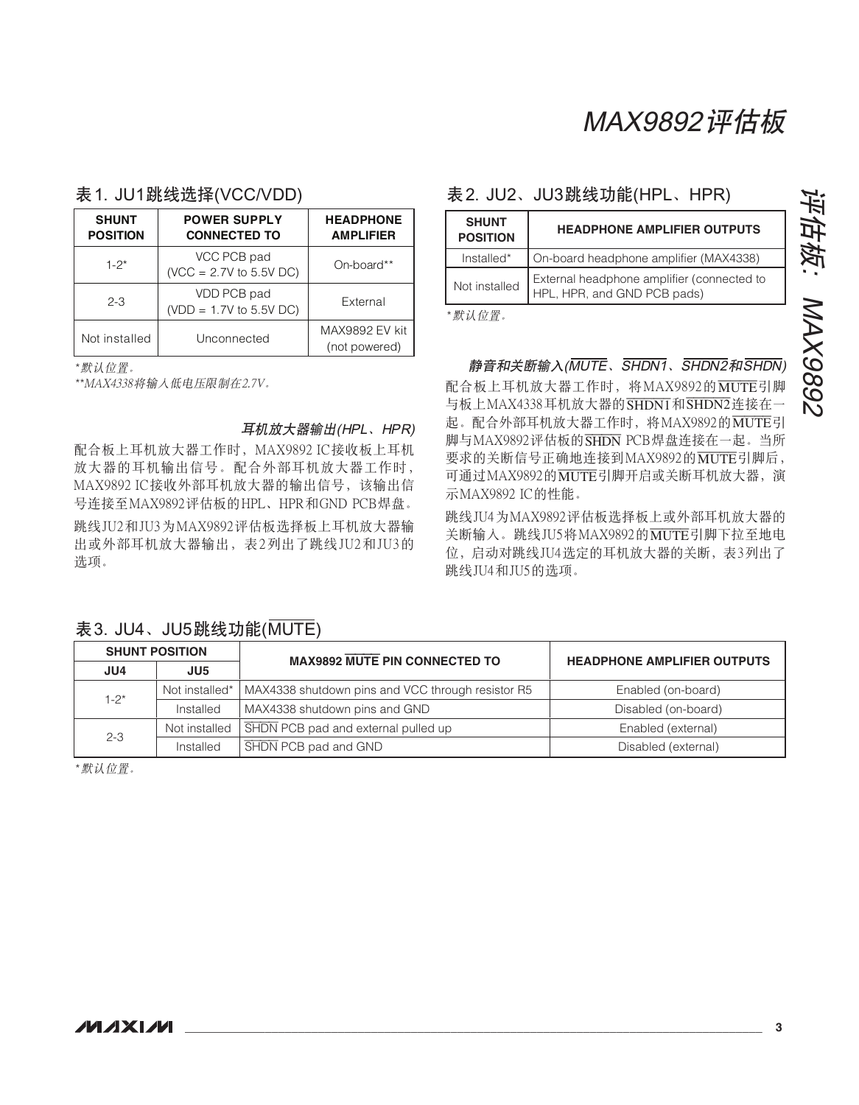## 表 1. JU1跳线选择(VCC/VDD)

| <b>SHUNT</b>    | <b>POWER SUPPLY</b>                      | <b>HEADPHONE</b> |
|-----------------|------------------------------------------|------------------|
| <b>POSITION</b> | <b>CONNECTED TO</b>                      | <b>AMPLIFIER</b> |
| $1 - 2^*$       | VCC PCB pad<br>$(VCC = 2.7V to 5.5V DC)$ | On-board**       |
| $2 - 3$         | VDD PCB pad<br>$(VDD = 1.7V$ to 5.5V DC) | External         |
| Not installed   |                                          | MAX9892 EV kit   |
| Unconnected     |                                          | (not powered)    |

\*默认位置。

\*\*MAX4338将输入低电压限制在2.7V。

### 耳机放大器输出(HPL、HPR)

配合板上耳机放大器工作时, MAX9892 IC接收板上耳机 放大器的耳机输出信号。配合外部耳机放大器工作时, MAX9892 IC接收外部耳机放大器的输出信号,该输出信 号连接至MAX9892评估板的HPL、HPR和GND PCB焊盘。 跳线JU2和JU3为MAX9892评估板选择板上耳机放大器输 出或外部耳机放大器输出,表2列出了跳线JU2和JU3的 选项。

## 表2. JU2、JU3跳线功能(HPL、HPR)

| <b>SHUNT</b><br><b>POSITION</b> | <b>HEADPHONE AMPLIFIER OUTPUTS</b>                                        |  |
|---------------------------------|---------------------------------------------------------------------------|--|
| $Instable*$                     | On-board headphone amplifier (MAX4338)                                    |  |
| Not installed                   | External headphone amplifier (connected to<br>HPL, HPR, and GND PCB pads) |  |

\*默认位置。

### 静音和关断输入(MUTE、SHDN1、SHDN2和SHDN)

配合板上耳机放大器工作时, 将MAX9892的MUTE引脚 与板上MAX4338耳机放大器的SHDN1和SHDN2连接在一 起。配合外部耳机放大器工作时, 将MAX9892的MUTE引 脚与MAX9892评估板的SHDN PCB焊盘连接在一起。当所 要求的关断信号正确地连接到MAX9892的MUTE引脚后, 可通过MAX9892的MUTE引脚开启或关断耳机放大器, 演 示MAX9892 IC的性能。

跳线JU4为MAX9892评估板选择板上或外部耳机放大器的 关断输入。跳线JU5将MAX9892的MUTE引脚下拉至地电 位, 启动对跳线JU4 选定的耳机放大器的关断, 表3列出了 跳线JU4和JU5的选项。

|           | <b>SHUNT POSITION</b> | <b>MAX9892 MUTE PIN CONNECTED TO</b>              | <b>HEADPHONE AMPLIFIER OUTPUTS</b> |  |
|-----------|-----------------------|---------------------------------------------------|------------------------------------|--|
| JU4       | JU <sub>5</sub>       |                                                   |                                    |  |
| $1 - 2^*$ | Not installed*        | MAX4338 shutdown pins and VCC through resistor R5 | Enabled (on-board)                 |  |
|           | Installed             | MAX4338 shutdown pins and GND                     | Disabled (on-board)                |  |
| $2 - 3$   | Not installed         | SHDN PCB pad and external pulled up               | Enabled (external)                 |  |
|           | Installed             | <b>SHDN</b> PCB pad and GND                       | Disabled (external)                |  |

表 3. JU4、JU5跳线功能(MUTE)

\*默认位置。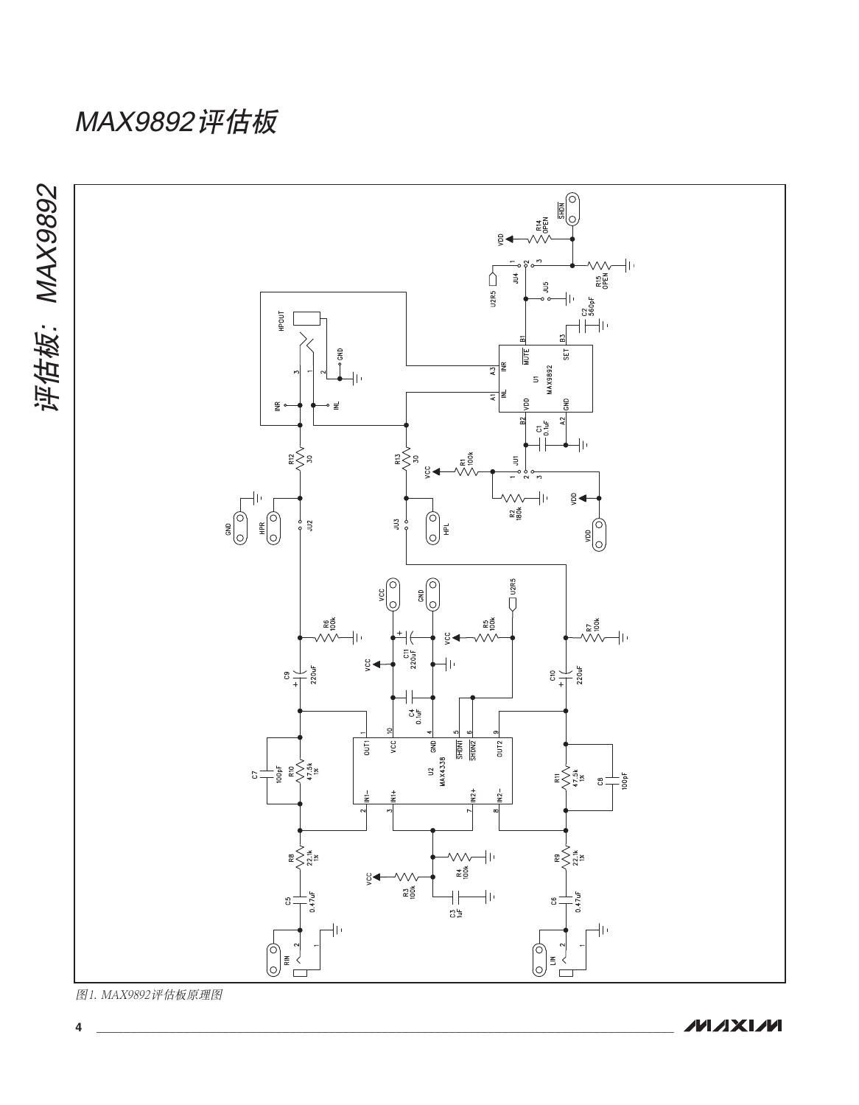